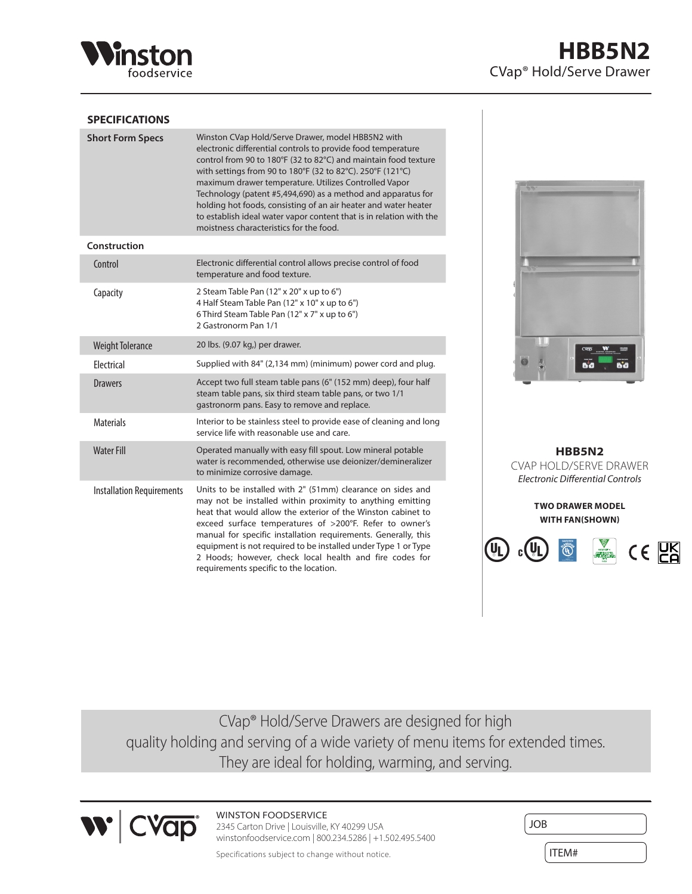

## **SPECIFICATIONS**

| <b>Short Form Specs</b>          | Winston CVap Hold/Serve Drawer, model HBB5N2 with<br>electronic differential controls to provide food temperature<br>control from 90 to 180°F (32 to 82°C) and maintain food texture<br>with settings from 90 to 180°F (32 to 82°C). 250°F (121°C)<br>maximum drawer temperature. Utilizes Controlled Vapor<br>Technology (patent #5,494,690) as a method and apparatus for<br>holding hot foods, consisting of an air heater and water heater<br>to establish ideal water vapor content that is in relation with the<br>moistness characteristics for the food. |
|----------------------------------|------------------------------------------------------------------------------------------------------------------------------------------------------------------------------------------------------------------------------------------------------------------------------------------------------------------------------------------------------------------------------------------------------------------------------------------------------------------------------------------------------------------------------------------------------------------|
| Construction                     |                                                                                                                                                                                                                                                                                                                                                                                                                                                                                                                                                                  |
| Control                          | Electronic differential control allows precise control of food<br>temperature and food texture.                                                                                                                                                                                                                                                                                                                                                                                                                                                                  |
| Capacity                         | 2 Steam Table Pan (12" x 20" x up to 6")<br>4 Half Steam Table Pan (12" x 10" x up to 6")<br>6 Third Steam Table Pan (12" x 7" x up to 6")<br>2 Gastronorm Pan 1/1                                                                                                                                                                                                                                                                                                                                                                                               |
| <b>Weight Tolerance</b>          | 20 lbs. (9.07 kg,) per drawer.                                                                                                                                                                                                                                                                                                                                                                                                                                                                                                                                   |
| Electrical                       | Supplied with 84" (2,134 mm) (minimum) power cord and plug.                                                                                                                                                                                                                                                                                                                                                                                                                                                                                                      |
| <b>Drawers</b>                   | Accept two full steam table pans (6" (152 mm) deep), four half<br>steam table pans, six third steam table pans, or two 1/1<br>gastronorm pans. Easy to remove and replace.                                                                                                                                                                                                                                                                                                                                                                                       |
| <b>Materials</b>                 | Interior to be stainless steel to provide ease of cleaning and long<br>service life with reasonable use and care.                                                                                                                                                                                                                                                                                                                                                                                                                                                |
| <b>Water Fill</b>                | Operated manually with easy fill spout. Low mineral potable<br>water is recommended, otherwise use deionizer/demineralizer<br>to minimize corrosive damage.                                                                                                                                                                                                                                                                                                                                                                                                      |
| <b>Installation Requirements</b> | Units to be installed with 2" (51mm) clearance on sides and<br>may not be installed within proximity to anything emitting<br>heat that would allow the exterior of the Winston cabinet to<br>exceed surface temperatures of >200°F. Refer to owner's<br>manual for specific installation requirements. Generally, this<br>equipment is not required to be installed under Type 1 or Type<br>2 Hoods; however, check local health and fire codes for<br>requirements specific to the location.                                                                    |



**HBB5N2** CVAP HOLD/SERVE DRAWER *Electronic Differential Controls*

> **TWO DRAWER MODEL WITH FAN(SHOWN)**



CVap® Hold/Serve Drawers are designed for high quality holding and serving of a wide variety of menu items for extended times. They are ideal for holding, warming, and serving.



WINSTON FOODSERVICE 2345 Carton Drive | Louisville, KY 40299 USA winstonfoodservice.com | 800.234.5286 | +1.502.495.5400

| <b>JOB</b> |  |
|------------|--|
| ITEM#      |  |

Specifications subject to change without notice.